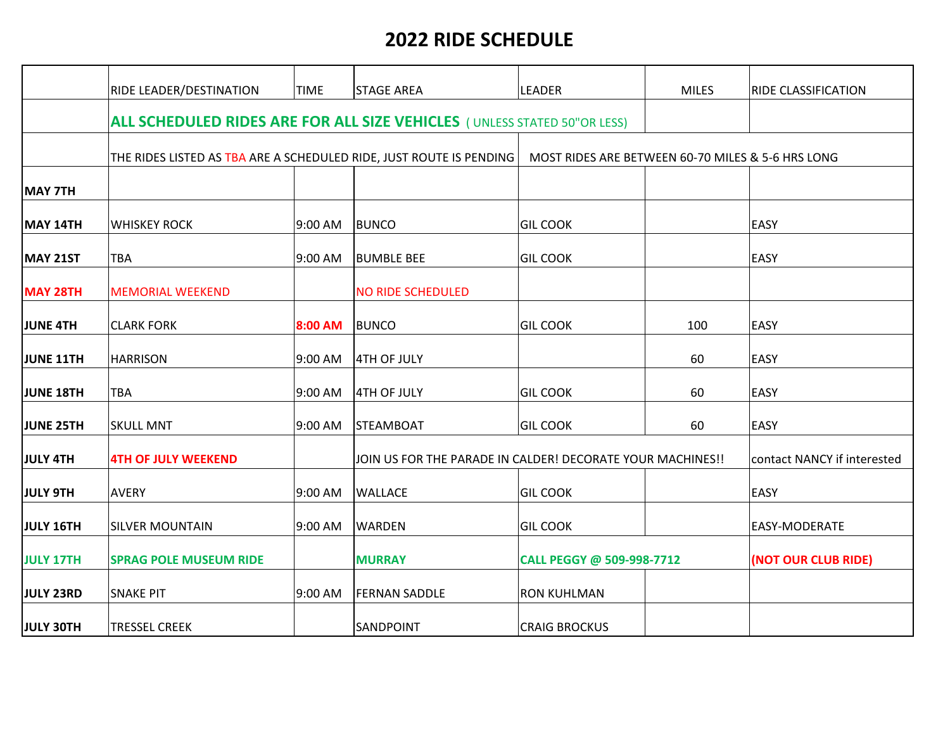## **2022 RIDE SCHEDULE**

|                  | <b>RIDE LEADER/DESTINATION</b>                                                  | <b>TIME</b>                                                | <b>STAGE AREA</b>        | LEADER                                            | <b>MILES</b> | RIDE CLASSIFICATION         |  |
|------------------|---------------------------------------------------------------------------------|------------------------------------------------------------|--------------------------|---------------------------------------------------|--------------|-----------------------------|--|
|                  |                                                                                 |                                                            |                          |                                                   |              |                             |  |
|                  | <b>ALL SCHEDULED RIDES ARE FOR ALL SIZE VEHICLES</b> (UNLESS STATED 50"OR LESS) |                                                            |                          |                                                   |              |                             |  |
|                  | THE RIDES LISTED AS TBA ARE A SCHEDULED RIDE, JUST ROUTE IS PENDING             |                                                            |                          | MOST RIDES ARE BETWEEN 60-70 MILES & 5-6 HRS LONG |              |                             |  |
| MAY 7TH          |                                                                                 |                                                            |                          |                                                   |              |                             |  |
| MAY 14TH         | <b>WHISKEY ROCK</b>                                                             | 9:00 AM                                                    | <b>BUNCO</b>             | <b>GIL COOK</b>                                   |              | EASY                        |  |
| <b>MAY 21ST</b>  | <b>TBA</b>                                                                      | 9:00 AM                                                    | <b>BUMBLE BEE</b>        | <b>GIL COOK</b>                                   |              | EASY                        |  |
| <b>MAY 28TH</b>  | <b>MEMORIAL WEEKEND</b>                                                         |                                                            | <b>NO RIDE SCHEDULED</b> |                                                   |              |                             |  |
| <b>JUNE 4TH</b>  | <b>CLARK FORK</b>                                                               | 8:00 AM                                                    | <b>BUNCO</b>             | <b>GIL COOK</b>                                   | 100          | EASY                        |  |
| <b>JUNE 11TH</b> | <b>HARRISON</b>                                                                 | 9:00 AM                                                    | 4TH OF JULY              |                                                   | 60           | EASY                        |  |
| <b>JUNE 18TH</b> | <b>TBA</b>                                                                      | 9:00 AM                                                    | 4TH OF JULY              | <b>GIL COOK</b>                                   | 60           | EASY                        |  |
| <b>JUNE 25TH</b> | <b>SKULL MNT</b>                                                                | 9:00 AM                                                    | STEAMBOAT                | <b>GIL COOK</b>                                   | 60           | EASY                        |  |
| <b>JULY 4TH</b>  | <b>4TH OF JULY WEEKEND</b>                                                      | JOIN US FOR THE PARADE IN CALDER! DECORATE YOUR MACHINES!! |                          |                                                   |              | contact NANCY if interested |  |
| <b>JULY 9TH</b>  | <b>AVERY</b>                                                                    | 9:00 AM                                                    | <b>WALLACE</b>           | <b>GIL COOK</b>                                   |              | EASY                        |  |
| <b>JULY 16TH</b> | <b>SILVER MOUNTAIN</b>                                                          | 9:00 AM                                                    | <b>WARDEN</b>            | <b>GIL COOK</b>                                   |              | EASY-MODERATE               |  |
| <b>JULY 17TH</b> | <b>SPRAG POLE MUSEUM RIDE</b>                                                   |                                                            | <b>MURRAY</b>            | CALL PEGGY @ 509-998-7712                         |              | (NOT OUR CLUB RIDE)         |  |
| <b>JULY 23RD</b> | <b>SNAKE PIT</b>                                                                | 9:00 AM                                                    | <b>FERNAN SADDLE</b>     | <b>RON KUHLMAN</b>                                |              |                             |  |
| <b>JULY 30TH</b> | <b>TRESSEL CREEK</b>                                                            |                                                            | SANDPOINT                | <b>CRAIG BROCKUS</b>                              |              |                             |  |